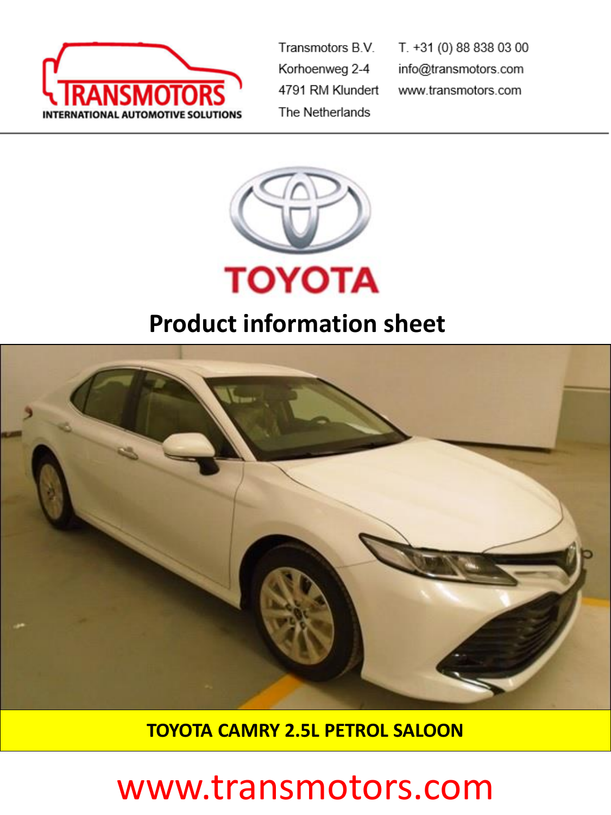

Transmotors B.V. Korhoenweg 2-4 4791 RM Klundert The Netherlands

T. +31 (0) 88 838 03 00 info@transmotors.com www.transmotors.com



## **Product information sheet**



**TOYOTA CAMRY 2.5L PETROL SALOON**

## www.transmotors.com